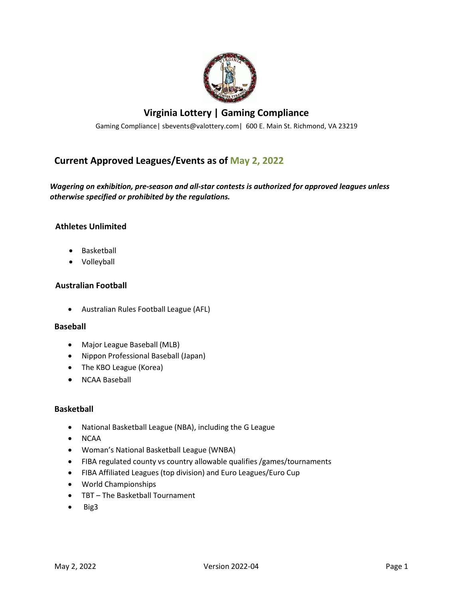

# **Virginia Lottery | Gaming Compliance**

Gaming Compliance| sbevents@valottery.com| 600 E. Main St. Richmond, VA 23219

# **Current Approved Leagues/Events as of May 2, 2022**

# *Wagering on exhibition, pre-season and all-star contests is authorized for approved leagues unless otherwise specified or prohibited by the regulations.*

# **Athletes Unlimited**

- Basketball
- Volleyball

### **Australian Football**

• Australian Rules Football League (AFL)

#### **Baseball**

- Major League Baseball (MLB)
- Nippon Professional Baseball (Japan)
- The KBO League (Korea)
- NCAA Baseball

#### **Basketball**

- National Basketball League (NBA), including the G League
- NCAA
- Woman's National Basketball League (WNBA)
- FIBA regulated county vs country allowable qualifies /games/tournaments
- FIBA Affiliated Leagues (top division) and Euro Leagues/Euro Cup
- World Championships
- TBT The Basketball Tournament
- Big3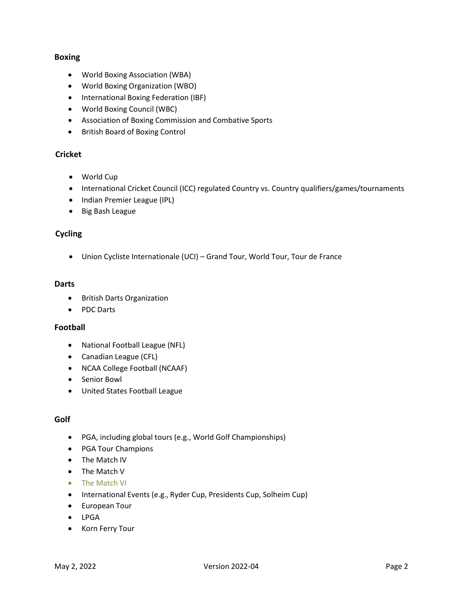# **Boxing**

- World Boxing Association (WBA)
- World Boxing Organization (WBO)
- International Boxing Federation (IBF)
- World Boxing Council (WBC)
- Association of Boxing Commission and Combative Sports
- British Board of Boxing Control

# **Cricket**

- World Cup
- International Cricket Council (ICC) regulated Country vs. Country qualifiers/games/tournaments
- Indian Premier League (IPL)
- Big Bash League

#### **Cycling**

• Union Cycliste Internationale (UCI) – Grand Tour, World Tour, Tour de France

#### **Darts**

- British Darts Organization
- PDC Darts

#### **Football**

- National Football League (NFL)
- Canadian League (CFL)
- NCAA College Football (NCAAF)
- Senior Bowl
- United States Football League

#### **Golf**

- PGA, including global tours (e.g., World Golf Championships)
- PGA Tour Champions
- The Match IV
- The Match V
- The Match VI
- International Events (e.g., Ryder Cup, Presidents Cup, Solheim Cup)
- European Tour
- LPGA
- Korn Ferry Tour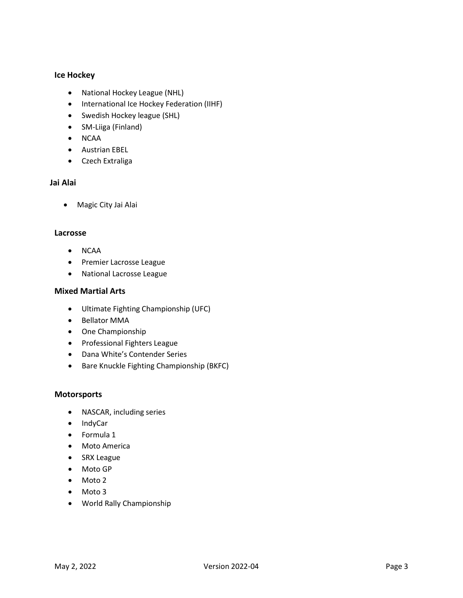# **Ice Hockey**

- National Hockey League (NHL)
- International Ice Hockey Federation (IIHF)
- Swedish Hockey league (SHL)
- SM-Liiga (Finland)
- NCAA
- Austrian EBEL
- Czech Extraliga

# **Jai Alai**

• Magic City Jai Alai

#### **Lacrosse**

- NCAA
- Premier Lacrosse League
- National Lacrosse League

# **Mixed Martial Arts**

- Ultimate Fighting Championship (UFC)
- Bellator MMA
- One Championship
- Professional Fighters League
- Dana White's Contender Series
- Bare Knuckle Fighting Championship (BKFC)

#### **Motorsports**

- NASCAR, including series
- IndyCar
- Formula 1
- Moto America
- SRX League
- Moto GP
- Moto 2
- Moto 3
- World Rally Championship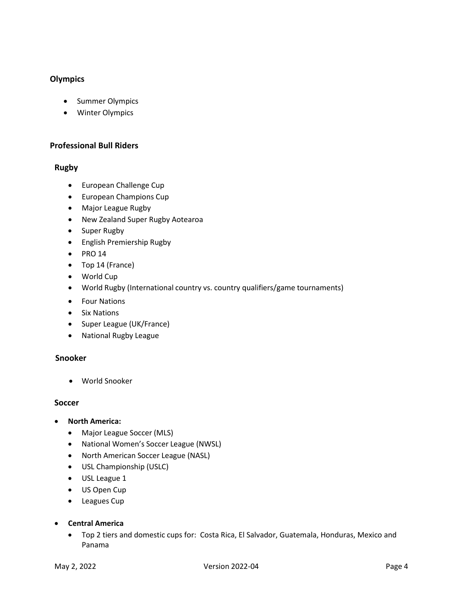# **Olympics**

- Summer Olympics
- Winter Olympics

# **Professional Bull Riders**

### **Rugby**

- European Challenge Cup
- European Champions Cup
- Major League Rugby
- New Zealand Super Rugby Aotearoa
- Super Rugby
- English Premiership Rugby
- PRO 14
- Top 14 (France)
- World Cup
- World Rugby (International country vs. country qualifiers/game tournaments)
- Four Nations
- Six Nations
- Super League (UK/France)
- National Rugby League

### **Snooker**

• World Snooker

#### **Soccer**

- **North America:**
	- Major League Soccer (MLS)
	- National Women's Soccer League (NWSL)
	- North American Soccer League (NASL)
	- USL Championship (USLC)
	- USL League 1
	- US Open Cup
	- Leagues Cup
- **Central America**
	- Top 2 tiers and domestic cups for: Costa Rica, El Salvador, Guatemala, Honduras, Mexico and Panama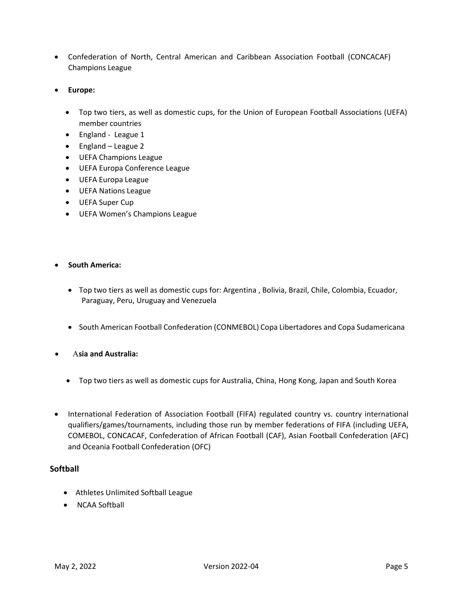- Confederation of North, Central American and Caribbean Association Football (CONCACAF) Champions League
- **Europe:**
	- Top two tiers, as well as domestic cups, for the Union of European Football Associations (UEFA) member countries
	- England League 1
	- England League 2
	- UEFA Champions League
	- UEFA Europa Conference League
	- UEFA Europa League
	- UEFA Nations League
	- UEFA Super Cup
	- UEFA Women's Champions League

#### • **South America:**

- Top two tiers as well as domestic cups for: Argentina , Bolivia, Brazil, Chile, Colombia, Ecuador, Paraguay, Peru, Uruguay and Venezuela
- South American Football Confederation (CONMEBOL) Copa Libertadores and Copa Sudamericana
- Α**sia and Australia:**
	- Top two tiers as well as domestic cups for Australia, China, Hong Kong, Japan and South Korea
- International Federation of Association Football (FIFA) regulated country vs. country international qualifiers/games/tournaments, including those run by member federations of FIFA (including UEFA, COMEBOL, CONCACAF, Confederation of African Football (CAF), Asian Football Confederation (AFC) and Oceania Football Confederation (OFC)

#### **Softball**

- Athletes Unlimited Softball League
- NCAA Softball